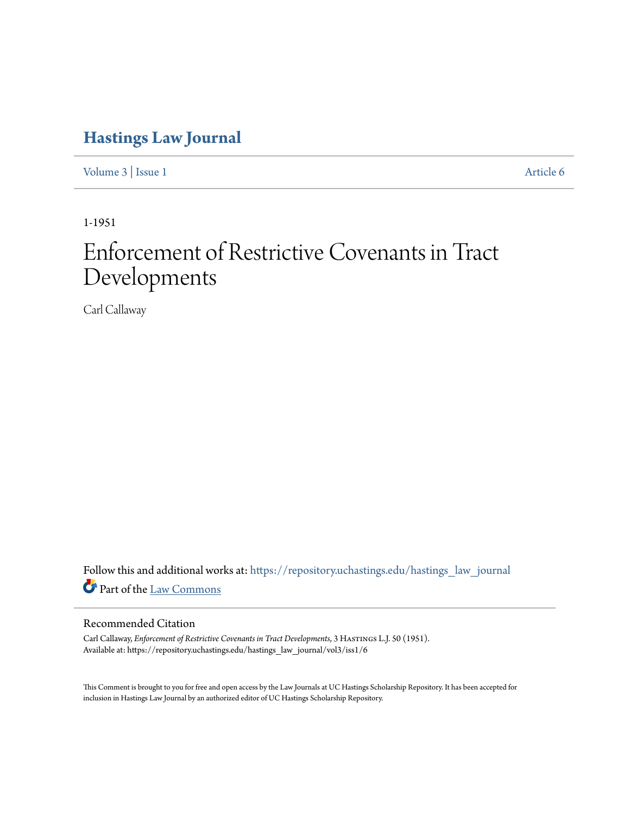# **[Hastings Law Journal](https://repository.uchastings.edu/hastings_law_journal?utm_source=repository.uchastings.edu%2Fhastings_law_journal%2Fvol3%2Fiss1%2F6&utm_medium=PDF&utm_campaign=PDFCoverPages)**

[Volume 3](https://repository.uchastings.edu/hastings_law_journal/vol3?utm_source=repository.uchastings.edu%2Fhastings_law_journal%2Fvol3%2Fiss1%2F6&utm_medium=PDF&utm_campaign=PDFCoverPages) | [Issue 1](https://repository.uchastings.edu/hastings_law_journal/vol3/iss1?utm_source=repository.uchastings.edu%2Fhastings_law_journal%2Fvol3%2Fiss1%2F6&utm_medium=PDF&utm_campaign=PDFCoverPages) [Article 6](https://repository.uchastings.edu/hastings_law_journal/vol3/iss1/6?utm_source=repository.uchastings.edu%2Fhastings_law_journal%2Fvol3%2Fiss1%2F6&utm_medium=PDF&utm_campaign=PDFCoverPages)

1-1951

# Enforcement of Restrictive Covenants in Tract Developments

Carl Callaway

Follow this and additional works at: [https://repository.uchastings.edu/hastings\\_law\\_journal](https://repository.uchastings.edu/hastings_law_journal?utm_source=repository.uchastings.edu%2Fhastings_law_journal%2Fvol3%2Fiss1%2F6&utm_medium=PDF&utm_campaign=PDFCoverPages) Part of the [Law Commons](http://network.bepress.com/hgg/discipline/578?utm_source=repository.uchastings.edu%2Fhastings_law_journal%2Fvol3%2Fiss1%2F6&utm_medium=PDF&utm_campaign=PDFCoverPages)

# Recommended Citation

Carl Callaway, *Enforcement of Restrictive Covenants in Tract Developments*, 3 Hastings L.J. 50 (1951). Available at: https://repository.uchastings.edu/hastings\_law\_journal/vol3/iss1/6

This Comment is brought to you for free and open access by the Law Journals at UC Hastings Scholarship Repository. It has been accepted for inclusion in Hastings Law Journal by an authorized editor of UC Hastings Scholarship Repository.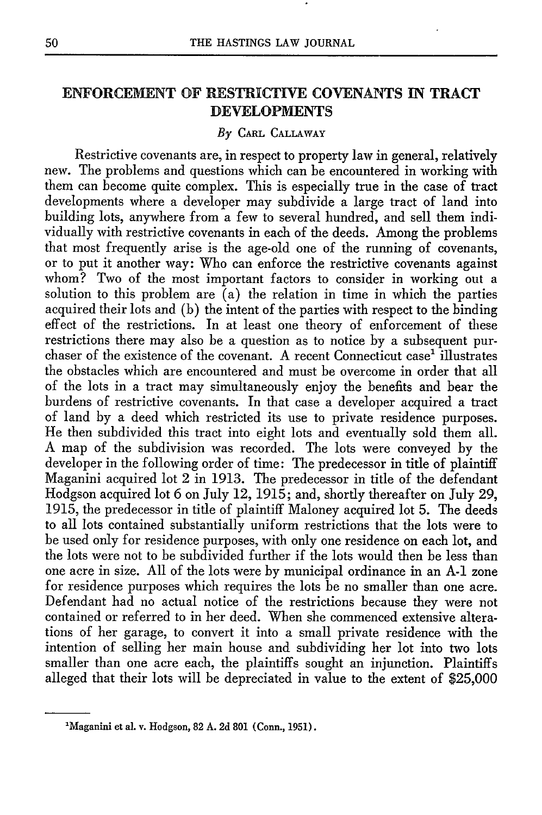# ENFORCEMENT OF RESTRICTIVE COVENANTS **IN** TRACT **DEVELOPMENTS**

#### *By* CARL CALLAWAY

Restrictive covenants are, in respect to property law in general, relatively new. The problems and questions which can be encountered in working with them can become quite complex. This is especially true in the case of tract developments where a developer may subdivide a large tract of land into building lots, anywhere from a few to several hundred, and sell them individually with restrictive covenants in each of the deeds. Among the problems that most frequently arise is the age-old one of the running of covenants, or to put it another way: Who can enforce the restrictive covenants against whom? Two of the most important factors to consider in working out a solution to this problem are  $(a)$  the relation in time in which the parties acquired their lots and (b) the intent of the parties with respect to the binding effect of the restrictions. In at least one theory of enforcement of these restrictions there may also be a question as to notice by a subsequent purchaser of the existence of the covenant. A recent Connecticut case' illustrates the obstacles which are encountered and must be overcome in order that all of the lots in a tract may simultaneously enjoy the benefits and bear the burdens of restrictive covenants. In that case a developer acquired a tract of land by a deed which restricted its use to private residence purposes. He then subdivided this tract into eight lots and eventually sold them all. A map of the subdivision was recorded. The lots were conveyed by the developer in the following order of time: The predecessor in title of plaintiff Maganini acquired lot 2 in 1913. The predecessor in title of the defendant Hodgson acquired lot 6 on July 12, 1915; and, shortly thereafter on July 29, 1915, the predecessor in title of plaintiff Maloney acquired lot 5. The deeds to all lots contained substantially uniform restrictions that the lots were to be used only for residence purposes, with only one residence on each lot, and the lots were not to be subdivided further if the lots would then be less than one acre in size. All of the lots were by municipal ordinance in an **A-1** zone for residence purposes which requires the lots be no smaller than one acre. Defendant had no actual notice of the restrictions because they were not contained or referred to in her deed. When she commenced extensive alterations of her garage, to convert it into a small private residence with the intention of selling her main house and subdividing her lot into two lots smaller than one acre each, the plaintiffs sought an injunction. Plaintiffs alleged that their lots will be depreciated in value to the extent of \$25,000

<sup>&</sup>lt;sup>1</sup>Maganini et al. v. Hodgson, 82 A. 2d 801 (Conn., 1951).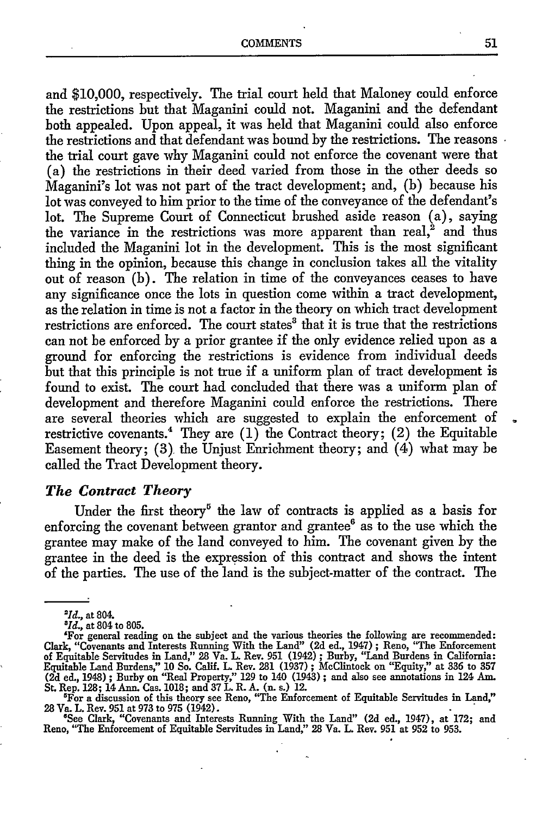and \$10,000, respectively. The trial court held that Maloney could enforce the restrictions but that Maganini could not. Maganini and the defendant both appealed. Upon appeal, it was held that Maganini could also enforce the restrictions and that defendant was bound by the restrictions. The reasons  $\cdot$ the trial court gave why Maganini could not enforce the covenant were that (a) the restrictions in their deed varied from those in the other deeds so Maganini's lot was not part of the tract development; and, (b) because his lot was conveyed to him prior to the time of the conveyance of the defendant's lot. The Supreme Court of Connecticut brushed aside reason (a), saying the variance in the restrictions was more apparent than real,<sup>2</sup> and thus included the Maganini lot in the development. This is the most significant thing in the opinion, because this change in conclusion takes all the vitality out of reason (b). The relation in time of the conveyances ceases to have any significance once the lots in question come within a tract development, as the relation in time is not a factor in the theory on which tract development restrictions are enforced. The court states' that it is true that the restrictions can not be enforced by a prior grantee if the only evidence relied upon as a ground for enforcing the restrictions is evidence from individual deeds but that this principle is not true if a uniform plan of tract development is found to exist. The court had concluded that there was a uniform plan of development and therefore Maganini could enforce the restrictions. There are several theories which are suggested to explain the enforcement of restrictive covenants.<sup>4</sup> They are  $(1)$  the Contract theory;  $(2)$  the Equitable Easement theory; (3) the Unjust Enrichment theory; and (4) what may be called the Tract Development theory.

# *The Contract Theory*

Under the first theory<sup>5</sup> the law of contracts is applied as a basis for enforcing the covenant between grantor and grantee $^6$  as to the use which the grantee may make of the land conveyed to him. The covenant given by the grantee in the deed is the expression of this contract and shows the intent of the parties. The use of the land is the subject-matter of the contract. The

*aId.,* at 804. *<sup>8</sup>*

*<sup>1</sup>d.,* at 804 to 805.

<sup>&#</sup>x27;For general reading on the subject and the various theories the following are recommended: Clark, "Covenants and Interests Running With the Land" (2d ed., 1947); Reno, "The Enforcemen of Equitable Servitudes in Land," 28 Va. L. Rev. 951 (1942) ; Burby, "Land Burdens in California: Equitable Land Burdens," 10 So. Calif. L. Rev. 281 (1937) ; McClintock on "Equity," at 336 to 357 (2d ed., 1948) **;** Burby on "Real Property," 129 to 140 (1943) ; and also see annotations in 124 Am.

St. Rep. 128; 14 Ann. Cas. 1018; and 37 L. R. A. (n. s.) 12. 'For a discussion of this theory see Reno, "The Enforcement of Equitable Servitudes in Land," 28 Va. L. Rev. 951 at 973 to 975 (1942).

See Clark, "Covenants and Interests Running With the Land" (2d ed., 1947), at 172; and Reno, "The Enforcement of Equitable Servitudes in Land," 28 Va. L. Rev. 951 at 952 to 953.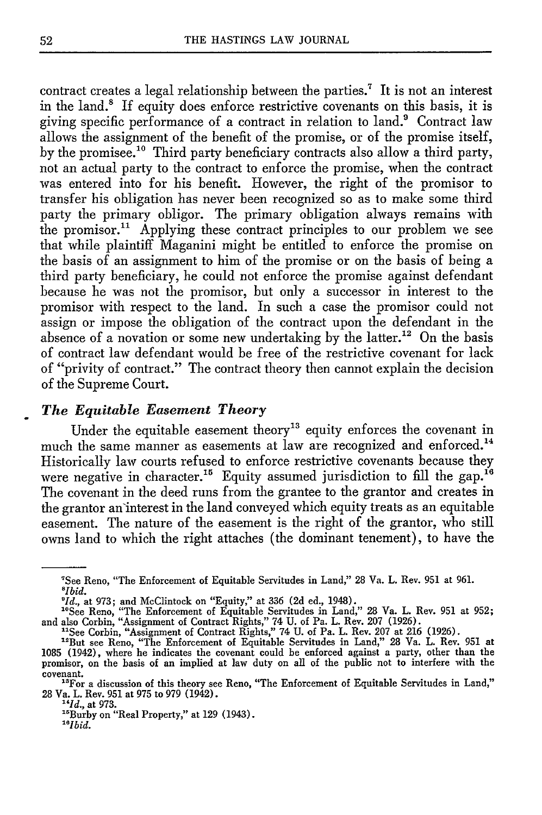contract creates a legal relationship between the parties.<sup>7</sup> It is not an interest in the land.' If equity does enforce restrictive covenants on this basis, it is giving specific performance of a contract in relation to land.<sup>9</sup> Contract law allows the assignment of the benefit of the promise, or of the promise itself, by the promisee.<sup>10</sup> Third party beneficiary contracts also allow a third party, not an actual party to the contract to enforce the promise, when the contract was entered into for his benefit. However, the right of the promisor to transfer his obligation has never been recognized so as to make some third party the primary obligor. The primary obligation always remains with the promisor.<sup>11</sup> Applying these contract principles to our problem we see that while plaintiff Maganini might be entitled to enforce the promise on the basis of an assignment to him of the promise or on the basis of being a third party beneficiary, he could not enforce the promise against defendant because he was not the promisor, but only a successor in interest to the promisor with respect to the land. In such a case the promisor could not assign or impose the obligation of the contract upon the defendant in the absence of a novation or some new undertaking by the latter.<sup>12</sup> On the basis of contract law defendant would be free of the restrictive covenant for lack of "privity of contract." The contract theory then cannot explain the decision of the Supreme Court.

# *The Equitable Easement Theory*

Under the equitable easement theory<sup>13</sup> equity enforces the covenant in much the same manner as easements at law are recognized and enforced.<sup>14</sup> Historically law courts refused to enforce restrictive covenants because they were negative in character.<sup>15</sup> Equity assumed jurisdiction to fill the gap.<sup>16</sup> The covenant in the deed runs from the grantee to the grantor and creates in the grantor an'interest in the land conveyed which equity treats as an equitable easement. The nature of the easement is the right of the grantor, who still owns land to which the right attaches (the dominant tenement), to have the

"See Corbin, "Assignment of Contract Rights," 74 **U.** of Pa. L. Rev. **207** at **216 (1926).** "But see Reno, "The Enforcement of Equitable Servitudes in Land," **28** Va. L. Rev. **951** at

*"Id.,* at **973.**

*""Ibid.*

<sup>&#</sup>x27;See Reno, "The Enforcement of Equitable Servitudes in Land," **28** Va. L. Rev. **951** at **961.** *<sup>8</sup> lbid.*

*<sup>&#</sup>x27;Id.,* at **973;** and McClintock on "Equity," at **336 (2d** ed., 1948).

<sup>&</sup>quot;See Reno, "The Enforcement of Equitable Servitudes in Land," 28 Va. L. Rev. **951** at **952;** and also Corbin, "Assignment of Contract Rights," 74 **U.** of Pa. L. Rev. **207 (1926).**

**<sup>1085</sup>** (1942), where he indicates the covenant could be enforced against a party, other than the promisor, on the basis of an implied at law duty on all of the public not to interfere with the covenant.

<sup>&</sup>lt;sup>13</sup>For a discussion of this theory see Reno, "The Enforcement of Equitable Servitudes in Land," **28** Va. L. Rev. **951** at **975** to **979** (1942).

<sup>&</sup>quot;Burby on "Real Property," at **129** (1943).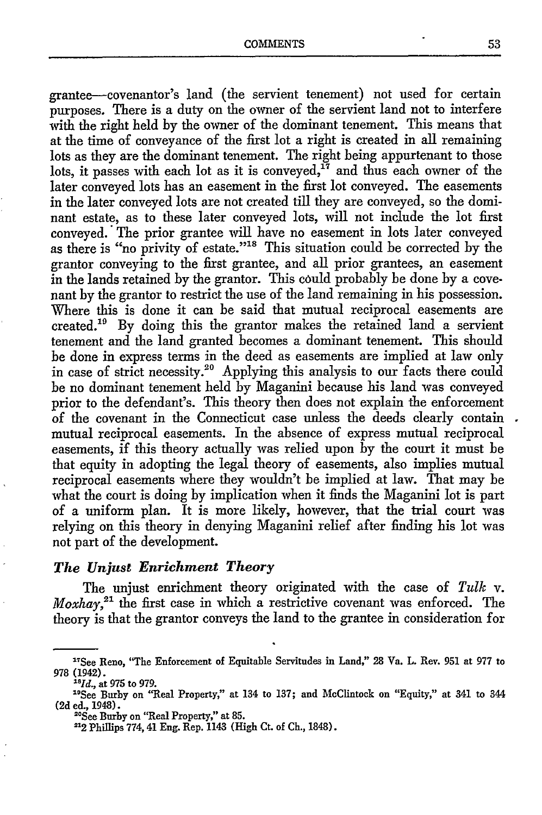grantee-covenantor's land (the servient tenement) not used for certain purposes. There is a duty on the owner of the servient land not to interfere with the right held by the owner of the dominant tenement. This means that at the time of conveyance of the first lot a right is created in all remaining lots as they are the dominant tenement. The right being appurtenant to those lots, it passes with each lot as it is conveyed,<sup>17</sup> and thus each owner of the later conveyed lots has an easement in the first lot conveyed. The easements in the later conveyed lots are not created till they are conveyed, so the dominant estate, as to these later conveyed lots, will not include the lot first conveyed. The prior grantee will have no easement in lots later conveyed as there is "no privity of estate."<sup>18</sup> This situation could be corrected by the grantor conveying to the first grantee, and all prior grantees, an easement in the lands retained by the grantor. This could probably be done by a covenant by the grantor to restrict the use of the land remaining in his possession. Where this is done it can be said that mutual reciprocal easements are created.'" By doing this the grantor makes the retained land a servient tenement and the land granted becomes a dominant tenement. This should be done in express terms in the deed as easements are implied at law only in case of strict necessity.<sup>20</sup> Applying this analysis to our facts there could be no dominant tenement held by Maganini because his land was conveyed prior to the defendant's. This theory then does not explain the enforcement of the covenant in the Connecticut case unless the deeds clearly contain mutual reciprocal easements. In the absence of express mutual reciprocal easements, if this theory actually was relied upon by the court it must be that equity in adopting the legal theory of easements, also implies mutual reciprocal easements where they wouldn't be implied at law. That may be what the court is doing by implication when it finds the Maganini lot is part of a uniform plan. It is more likely, however, that the trial court was relying on this theory in denying Maganini relief after finding his lot was not part of the development.

### *The Unjust Enrichment Theory*

The unjust enrichment theory originated with the case of *Tulk* v. *Moxhay*,<sup>21</sup> the first case in which a restrictive covenant was enforced. The theory is that the grantor conveys the land to the grantee in consideration for

*16 Id.,* at **975** to 979.

<sup>&</sup>lt;sup>17</sup>See Reno, "The Enforcement of Equitable Servitudes in Land," 28 Va. L. Rev. 951 at 977 to **978** (1942).

<sup>&</sup>quot;°See Burby on "Real Property," at 134 to 137; and McClintock on "Equity," at 341 to 344 **(2d** ed., 1948).

<sup>&</sup>quot;See Burby on "Real Property," at **85.**

**<sup>12</sup>** Phillips 774,41 **Eng.** Rep. 1143 (High Ct. of Ch., 1848).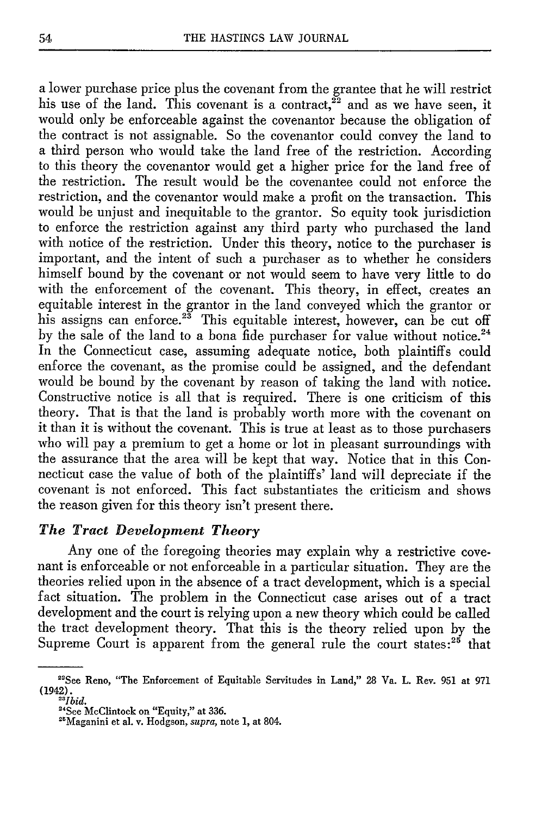a lower purchase price plus the covenant from the grantee that he will restrict his use of the land. This covenant is a contract,  $\tilde{z}^2$  and as we have seen, it would only be enforceable against the covenantor because the obligation of the contract is not assignable. So the covenantor could convey the land to a third person who would take the land free of the restriction. According to this theory the covenantor would get a higher price for the land free of the restriction. The result would be the covenantee could not enforce the restriction, and the covenantor would make a profit on the transaction. This would be unjust and inequitable to the grantor. So equity took jurisdiction to enforce the restriction against any third party who purchased the land with notice of the restriction. Under this theory, notice to the purchaser is important, and the intent of such a purchaser as to whether he considers himself bound by the covenant or not would seem to have very little to do with the enforcement of the covenant. This theory, in effect, creates an equitable interest in the grantor in the land conveyed which the grantor or his assigns can enforce.<sup>23</sup> This equitable interest, however, can be cut off by the sale of the land to a bona fide purchaser for value without notice.<sup>24</sup> In the Connecticut case, assuming adequate notice, both plaintiffs could enforce the covenant, as the promise could be assigned, and the defendant would be bound by the covenant by reason of taking the land with notice. Constructive notice is all that is required. There is one criticism of this theory. That is that the land is probably worth more with the covenant on it than it is without the covenant. This is true at least as to those purchasers who will pay a premium to get a home or lot in pleasant surroundings with the assurance that the area will be kept that way. Notice that in this Connecticut case the value of both of the plaintiffs' land will depreciate if the covenant is not enforced. This fact substantiates the criticism and shows the reason given for this theory isn't present there.

# *The Tract Development Theory*

Any one of the foregoing theories may explain why a restrictive covenant is enforceable or not enforceable in a particular situation. They are the theories relied upon in the absence of a tract development, which is a special fact situation. The problem in the Connecticut case arises out of a tract development and the court is relying upon a new theory which could be called the tract development theory. That this is the theory relied upon **by** the Supreme Court is apparent from the general rule the court states:<sup>25</sup> that

<sup>&</sup>quot;See Reno, "The Enforcement of Equitable Servitudes in Land," **28** Va. L. Rev. **951** at **971** (1942). *-'Ibid.*

<sup>&</sup>quot;See McClintock on "Equity," at **336.** "Maganini et al. v. Hodgson, *supra,* note **1,** at 804.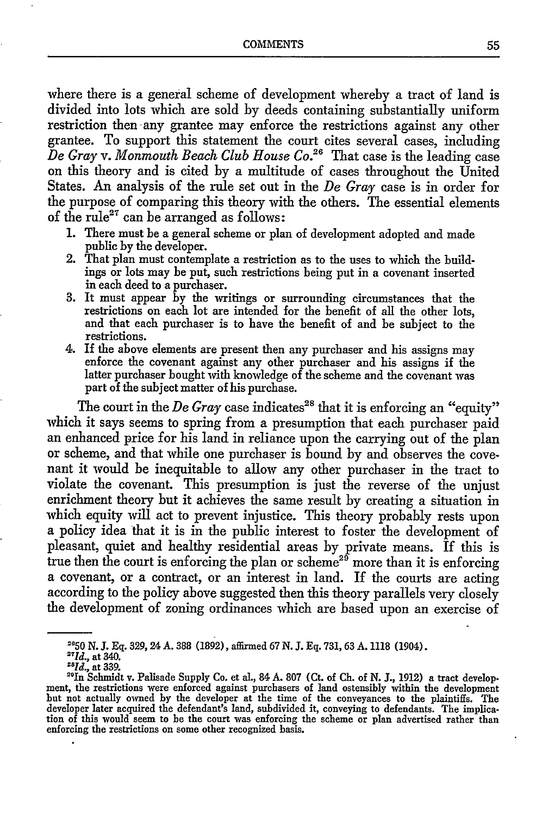where there is a general scheme of development whereby a tract of land is divided into lots which are sold by deeds containing substantially uniform restriction then any grantee may enforce the restrictions against any other grantee. To support this statement the court cites several cases, including *De Gray v. Monmouth Beach Club House Co.26* That case is the leading case on this theory and is cited by a multitude of cases throughout the United States. An analysis of the rule set out in the *De Gray* case is in order for the purpose of comparing this theory with the others. The essential elements of the rule<sup>27</sup> can be arranged as follows:

- 1. There must be a general scheme or plan of development adopted and made public by the developer.
- 2. That plan must contemplate a restriction as to the uses to which the buildings or lots may be put, such restrictions being put in a covenant inserted in each deed to a purchaser. 3. It must appear by the writings or surrounding circumstances that the
- restrictions on each lot are intended for the benefit of all the other lots, and that each purchaser is to have the benefit of and be subject to the restrictions.
- 4. If the above elements are present then any purchaser and his assigns may enforce the covenant against any other purchaser and his assigns if the latter purchaser bought with knowledge of the scheme and the covenant was part of the subject matter of his purchase.

The court in the  $De$   $Gray$  case indicates<sup>28</sup> that it is enforcing an "equity" which it says seems to spring from a presumption that each purchaser paid an enhanced price for his land in reliance upon the carrying out of the plan or scheme, and that while one purchaser is bound by and observes the covenant it would be inequitable to allow any other purchaser in the tract to violate the covenant. This presumption is just the reverse of the unjust enrichment theory but it achieves the same result by creating a situation in which equity will act to prevent injustice. This theory probably rests upon a policy idea that it is in the public interest to foster the development of pleasant, quiet and healthy residential areas by private means. If this is true then the court is enforcing the plan or scheme<sup>25</sup> more than it is enforcing a covenant, or a contract, or an interest in land. **If** the courts are acting according to the policy above suggested then this theory parallels very closely the development of zoning ordinances which are based upon an exercise of

**<sup>2050</sup> N. J. Eq.** 329, 24 **A. 388 (1892),** affirmed **67 N. J. Eq. 731,** 63 **A. 1118** (1904).

*<sup>&</sup>quot;Id.,* at 340.

<sup>&</sup>lt;sup>28</sup>Id., at 339.<br><sup>29</sup>In Schmidt v. Palisade Supply Co. et al., 84 A. 807 (Ct. of Ch. of N. J., 1912) a tract development, the restrictions were enforced against purchasers of land ostensibly within the development but not actually owned by the developer at the time of the conveyances to the plaintiffs. The developer later acquired the defendant's land, subdivided it, conveying to defendants. The implica- tion of this would seem to be the court was enforcing the scheme or plan advertised rather than enforcing the restrictions on some other recognized basis.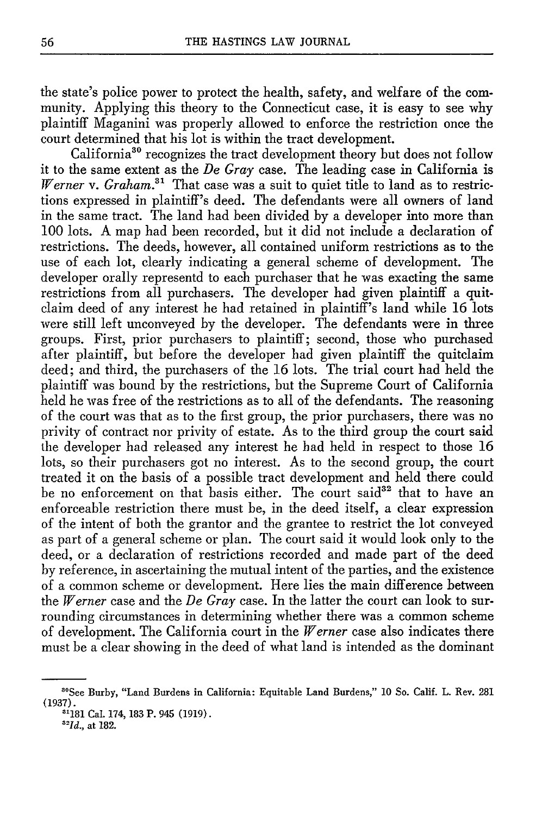the state's police power to protect the health, safety, and welfare of the community. Applying this theory to the Connecticut case, it is easy to see why plaintiff Maganini was properly allowed to enforce the restriction once the court determined that his lot is within the tract development.

California<sup>30</sup> recognizes the tract development theory but does not follow it to the same extent as the *De Gray* case. The leading case in California is *Werner v.*  $Graham$ *<sup>31</sup>* That case was a suit to quiet title to land as to restrictions expressed in plaintiff's deed. The defendants were all owners of land in the same tract. The land had been divided by a developer into more than 100 lots. A map had been recorded, but it did not include a declaration of restrictions. The deeds, however, all contained uniform restrictions as to the use of each lot, clearly indicating a general scheme of development. The developer orally representd to each purchaser that he was exacting the same restrictions from all purchasers. The developer had given plaintiff a quitclaim deed of any interest he had retained in plaintiff's land while 16 lots were still left unconveyed by the developer. The defendants were in three groups. First, prior purchasers to plaintiff; second, those who purchased after plaintiff, but before the developer had given plaintiff the quitclaim deed; and third, the purchasers of the **16** lots. The trial court had held the plaintiff was bound by the restrictions, but the Supreme Court of California held he was free of the restrictions as to all of the defendants. The reasoning of the court was that as to the first group, the prior purchasers, there was no privity of contract nor privity of estate. As to the third group the court said the developer had released any interest he had held in respect to those 16 lots, so their purchasers got no interest. As to the second group, the court treated it on the basis of a possible tract development and held there could be no enforcement on that basis either. The court said<sup>32</sup> that to have an enforceable restriction there must be, in the deed itself, a clear expression of the intent of both the grantor and the grantee to restrict the lot conveyed as part of a general scheme or plan. The court said it would look only to the deed, or a declaration of restrictions recorded and made part of the deed by reference, in ascertaining the mutual intent of the parties, and the existence of a common scheme or development. Here lies the main difference between the *Werner* case and the *De Gray* case. In the latter the court can look to surrounding circumstances in determining whether there was a common scheme of development. The California court in the *Werner* case also indicates there must be a clear showing in the deed of what land is intended as the dominant

<sup>&</sup>quot; 0See Burby, "Land Burdens in California: Equitable Land Burdens," **10** So. Calif. L. Rev. 281 **(1937).**

**<sup>&</sup>quot;** 181 Cal. 174, **183** P. 945 **(1919).**

*<sup>32-</sup>Id.,* at 182.